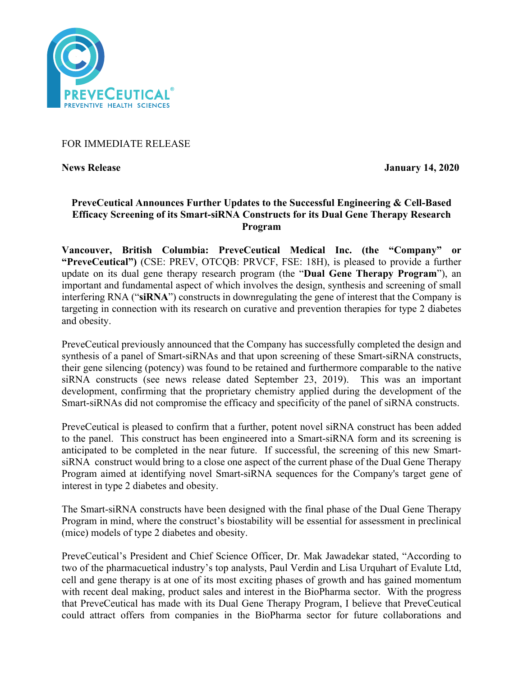

## FOR IMMEDIATE RELEASE

**News Release January 14, 2020**

# **PreveCeutical Announces Further Updates to the Successful Engineering & Cell-Based Efficacy Screening of its Smart-siRNA Constructs for its Dual Gene Therapy Research Program**

**Vancouver, British Columbia: PreveCeutical Medical Inc. (the "Company" or "PreveCeutical")** (CSE: PREV, OTCQB: PRVCF, FSE: 18H), is pleased to provide a further update on its dual gene therapy research program (the "**Dual Gene Therapy Program**"), an important and fundamental aspect of which involves the design, synthesis and screening of small interfering RNA ("**siRNA**") constructs in downregulating the gene of interest that the Company is targeting in connection with its research on curative and prevention therapies for type 2 diabetes and obesity.

PreveCeutical previously announced that the Company has successfully completed the design and synthesis of a panel of Smart-siRNAs and that upon screening of these Smart-siRNA constructs, their gene silencing (potency) was found to be retained and furthermore comparable to the native siRNA constructs (see news release dated September 23, 2019). This was an important development, confirming that the proprietary chemistry applied during the development of the Smart-siRNAs did not compromise the efficacy and specificity of the panel of siRNA constructs.

PreveCeutical is pleased to confirm that a further, potent novel siRNA construct has been added to the panel. This construct has been engineered into a Smart-siRNA form and its screening is anticipated to be completed in the near future. If successful, the screening of this new SmartsiRNA construct would bring to a close one aspect of the current phase of the Dual Gene Therapy Program aimed at identifying novel Smart-siRNA sequences for the Company's target gene of interest in type 2 diabetes and obesity.

The Smart-siRNA constructs have been designed with the final phase of the Dual Gene Therapy Program in mind, where the construct's biostability will be essential for assessment in preclinical (mice) models of type 2 diabetes and obesity.

PreveCeutical's President and Chief Science Officer, Dr. Mak Jawadekar stated, "According to two of the pharmacuetical industry's top analysts, Paul Verdin and Lisa Urquhart of Evalute Ltd, cell and gene therapy is at one of its most exciting phases of growth and has gained momentum with recent deal making, product sales and interest in the BioPharma sector. With the progress that PreveCeutical has made with its Dual Gene Therapy Program, I believe that PreveCeutical could attract offers from companies in the BioPharma sector for future collaborations and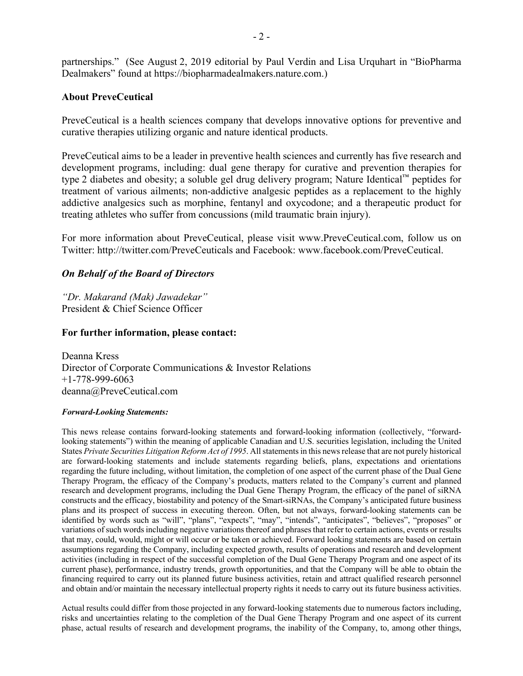partnerships." (See August 2, 2019 editorial by Paul Verdin and Lisa Urquhart in "BioPharma Dealmakers" found at https://biopharmadealmakers.nature.com.)

### **About PreveCeutical**

PreveCeutical is a health sciences company that develops innovative options for preventive and curative therapies utilizing organic and nature identical products.

PreveCeutical aims to be a leader in preventive health sciences and currently has five research and development programs, including: dual gene therapy for curative and prevention therapies for type 2 diabetes and obesity; a soluble gel drug delivery program; Nature Identical™ peptides for treatment of various ailments; non-addictive analgesic peptides as a replacement to the highly addictive analgesics such as morphine, fentanyl and oxycodone; and a therapeutic product for treating athletes who suffer from concussions (mild traumatic brain injury).

For more information about PreveCeutical, please visit www.PreveCeutical.com, follow us on Twitter: http://twitter.com/PreveCeuticals and Facebook: www.facebook.com/PreveCeutical.

#### *On Behalf of the Board of Directors*

*"Dr. Makarand (Mak) Jawadekar"* President & Chief Science Officer

#### **For further information, please contact:**

Deanna Kress Director of Corporate Communications & Investor Relations +1-778-999-6063 deanna@PreveCeutical.com

#### *Forward-Looking Statements:*

This news release contains forward-looking statements and forward-looking information (collectively, "forwardlooking statements") within the meaning of applicable Canadian and U.S. securities legislation, including the United States *Private Securities Litigation Reform Act of 1995*. All statements in this news release that are not purely historical are forward-looking statements and include statements regarding beliefs, plans, expectations and orientations regarding the future including, without limitation, the completion of one aspect of the current phase of the Dual Gene Therapy Program, the efficacy of the Company's products, matters related to the Company's current and planned research and development programs, including the Dual Gene Therapy Program, the efficacy of the panel of siRNA constructs and the efficacy, biostability and potency of the Smart-siRNAs, the Company's anticipated future business plans and its prospect of success in executing thereon. Often, but not always, forward-looking statements can be identified by words such as "will", "plans", "expects", "may", "intends", "anticipates", "believes", "proposes" or variations of such words including negative variations thereof and phrases that refer to certain actions, events or results that may, could, would, might or will occur or be taken or achieved. Forward looking statements are based on certain assumptions regarding the Company, including expected growth, results of operations and research and development activities (including in respect of the successful completion of the Dual Gene Therapy Program and one aspect of its current phase), performance, industry trends, growth opportunities, and that the Company will be able to obtain the financing required to carry out its planned future business activities, retain and attract qualified research personnel and obtain and/or maintain the necessary intellectual property rights it needs to carry out its future business activities.

Actual results could differ from those projected in any forward-looking statements due to numerous factors including, risks and uncertainties relating to the completion of the Dual Gene Therapy Program and one aspect of its current phase, actual results of research and development programs, the inability of the Company, to, among other things,